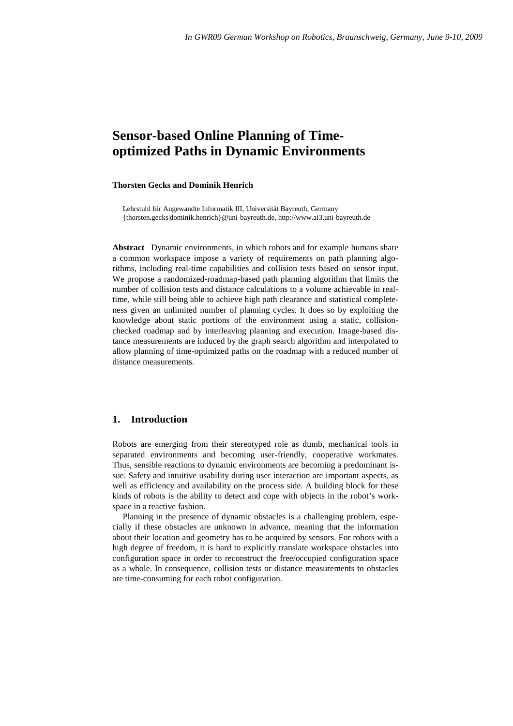# **Sensor-based Online Planning of Timeoptimized Paths in Dynamic Environments**

#### **Thorsten Gecks and Dominik Henrich**

Lehrstuhl für Angewandte Informatik III, Universität Bayreuth, Germany {thorsten.gecks|dominik.henrich}@uni-bayreuth.de, http://www.ai3.uni-bayreuth.de

**Abstract** Dynamic environments, in which robots and for example humans share a common workspace impose a variety of requirements on path planning algorithms, including real-time capabilities and collision tests based on sensor input. We propose a randomized-roadmap-based path planning algorithm that limits the number of collision tests and distance calculations to a volume achievable in realtime, while still being able to achieve high path clearance and statistical completeness given an unlimited number of planning cycles. It does so by exploiting the knowledge about static portions of the environment using a static, collisionchecked roadmap and by interleaving planning and execution. Image-based distance measurements are induced by the graph search algorithm and interpolated to allow planning of time-optimized paths on the roadmap with a reduced number of distance measurements.

## **1. Introduction**

Robots are emerging from their stereotyped role as dumb, mechanical tools in separated environments and becoming user-friendly, cooperative workmates. Thus, sensible reactions to dynamic environments are becoming a predominant issue. Safety and intuitive usability during user interaction are important aspects, as well as efficiency and availability on the process side. A building block for these kinds of robots is the ability to detect and cope with objects in the robot's workspace in a reactive fashion.

Planning in the presence of dynamic obstacles is a challenging problem, especially if these obstacles are unknown in advance, meaning that the information about their location and geometry has to be acquired by sensors. For robots with a high degree of freedom, it is hard to explicitly translate workspace obstacles into configuration space in order to reconstruct the free/occupied configuration space as a whole. In consequence, collision tests or distance measurements to obstacles are time-consuming for each robot configuration.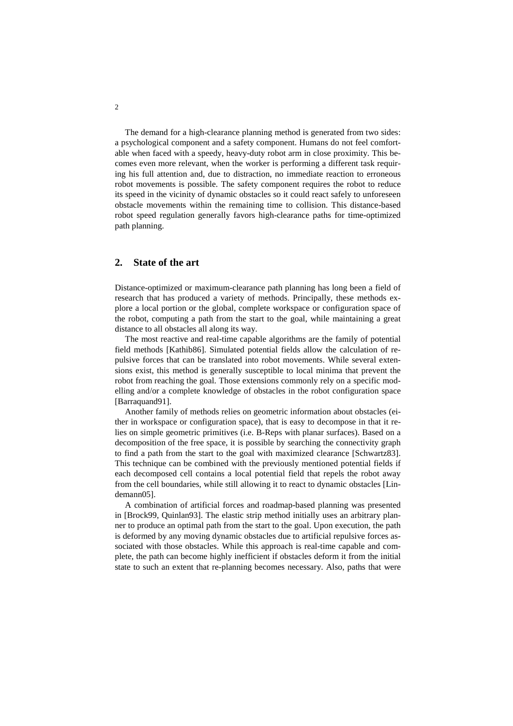The demand for a high-clearance planning method is generated from two sides: a psychological component and a safety component. Humans do not feel comfortable when faced with a speedy, heavy-duty robot arm in close proximity. This becomes even more relevant, when the worker is performing a different task requiring his full attention and, due to distraction, no immediate reaction to erroneous robot movements is possible. The safety component requires the robot to reduce its speed in the vicinity of dynamic obstacles so it could react safely to unforeseen obstacle movements within the remaining time to collision. This distance-based robot speed regulation generally favors high-clearance paths for time-optimized path planning.

## **2. State of the art**

Distance-optimized or maximum-clearance path planning has long been a field of research that has produced a variety of methods. Principally, these methods explore a local portion or the global, complete workspace or configuration space of the robot, computing a path from the start to the goal, while maintaining a great distance to all obstacles all along its way.

The most reactive and real-time capable algorithms are the family of potential field methods [Kathib86]. Simulated potential fields allow the calculation of repulsive forces that can be translated into robot movements. While several extensions exist, this method is generally susceptible to local minima that prevent the robot from reaching the goal. Those extensions commonly rely on a specific modelling and/or a complete knowledge of obstacles in the robot configuration space [Barraquand91].

Another family of methods relies on geometric information about obstacles (either in workspace or configuration space), that is easy to decompose in that it relies on simple geometric primitives (i.e. B-Reps with planar surfaces). Based on a decomposition of the free space, it is possible by searching the connectivity graph to find a path from the start to the goal with maximized clearance [Schwartz83]. This technique can be combined with the previously mentioned potential fields if each decomposed cell contains a local potential field that repels the robot away from the cell boundaries, while still allowing it to react to dynamic obstacles [Lindemann05].

A combination of artificial forces and roadmap-based planning was presented in [Brock99, Quinlan93]. The elastic strip method initially uses an arbitrary planner to produce an optimal path from the start to the goal. Upon execution, the path is deformed by any moving dynamic obstacles due to artificial repulsive forces associated with those obstacles. While this approach is real-time capable and complete, the path can become highly inefficient if obstacles deform it from the initial state to such an extent that re-planning becomes necessary. Also, paths that were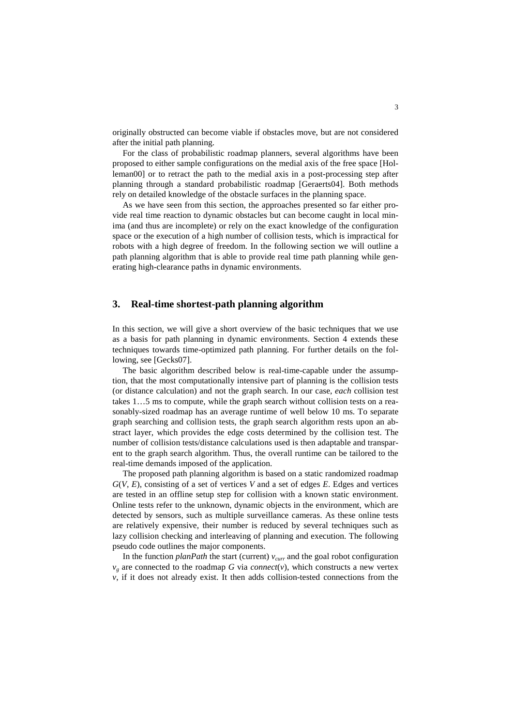originally obstructed can become viable if obstacles move, but are not considered after the initial path planning.

For the class of probabilistic roadmap planners, several algorithms have been proposed to either sample configurations on the medial axis of the free space [Holleman00] or to retract the path to the medial axis in a post-processing step after planning through a standard probabilistic roadmap [Geraerts04]. Both methods rely on detailed knowledge of the obstacle surfaces in the planning space.

As we have seen from this section, the approaches presented so far either provide real time reaction to dynamic obstacles but can become caught in local minima (and thus are incomplete) or rely on the exact knowledge of the configuration space or the execution of a high number of collision tests, which is impractical for robots with a high degree of freedom. In the following section we will outline a path planning algorithm that is able to provide real time path planning while generating high-clearance paths in dynamic environments.

## **3. Real-time shortest-path planning algorithm**

In this section, we will give a short overview of the basic techniques that we use as a basis for path planning in dynamic environments. Section 4 extends these techniques towards time-optimized path planning. For further details on the following, see [Gecks07].

The basic algorithm described below is real-time-capable under the assumption, that the most computationally intensive part of planning is the collision tests (or distance calculation) and not the graph search. In our case, *each* collision test takes 1…5 ms to compute, while the graph search without collision tests on a reasonably-sized roadmap has an average runtime of well below 10 ms. To separate graph searching and collision tests, the graph search algorithm rests upon an abstract layer, which provides the edge costs determined by the collision test. The number of collision tests/distance calculations used is then adaptable and transparent to the graph search algorithm. Thus, the overall runtime can be tailored to the real-time demands imposed of the application.

The proposed path planning algorithm is based on a static randomized roadmap *G*(*V*, *E*), consisting of a set of vertices *V* and a set of edges *E*. Edges and vertices are tested in an offline setup step for collision with a known static environment. Online tests refer to the unknown, dynamic objects in the environment, which are detected by sensors, such as multiple surveillance cameras. As these online tests are relatively expensive, their number is reduced by several techniques such as lazy collision checking and interleaving of planning and execution. The following pseudo code outlines the major components.

In the function *planPath* the start (current)  $v_{\text{curr}}$  and the goal robot configuration  $v_g$  are connected to the roadmap *G* via *connect*(*v*), which constructs a new vertex  $\nu$ , if it does not already exist. It then adds collision-tested connections from the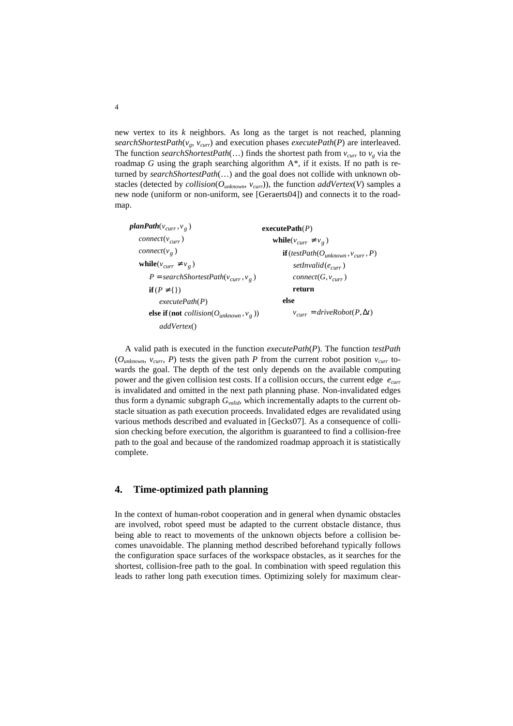new vertex to its *k* neighbors. As long as the target is not reached, planning *searchShortestPath*(*vg*, *vcurr*) and execution phases *executePath*(*P*) are interleaved. The function *searchShortestPath*(...) finds the shortest path from  $v_{\text{curr}}$  to  $v_g$  via the roadmap *G* using the graph searching algorithm A\*, if it exists. If no path is returned by *searchShortestPath*(…) and the goal does not collide with unknown obstacles (detected by *collision*( $O_{unknown}$ ,  $v_{curr}$ )), the function *addVertex*(*V*) samples a new node (uniform or non-uniform, see [Geraerts04]) and connects it to the roadmap.

() *addVertex* **else if** (**not** *collision*( $O_{unknown}$ ,  $v_g$ )) ( ) *executePath P*  $\textbf{if}(P \neq \{\})$  $P = searchShortestPath(v_{curr}, v_{g})$  $\textbf{while}(v_{curr} \neq v_g)$ connect(v<sub>g</sub>) ( ) *connect v curr* planPath(v<sub>curr</sub>,v<sub>g</sub>)  $v_{curr} = driveRoot(P, \Delta t)$  $connect(G, v_{curr})$ ( ) *setInvalid e curr*  $\mathbf{if}$  (testPath( $O_{unknown}$ ,  $v_{curr}$ , P)  $\textbf{while}(v_{curr} \neq v_g)$ executePath(P) **else return**

A valid path is executed in the function *executePath*(*P*). The function *testPath* ( $O_{unknown}$ ,  $v_{curr}$ , *P*) tests the given path *P* from the current robot position  $v_{curr}$  towards the goal. The depth of the test only depends on the available computing power and the given collision test costs. If a collision occurs, the current edge *ecurr* is invalidated and omitted in the next path planning phase. Non-invalidated edges thus form a dynamic subgraph *Gvalid*, which incrementally adapts to the current obstacle situation as path execution proceeds. Invalidated edges are revalidated using various methods described and evaluated in [Gecks07]. As a consequence of collision checking before execution, the algorithm is guaranteed to find a collision-free path to the goal and because of the randomized roadmap approach it is statistically complete.

#### **4. Time-optimized path planning**

In the context of human-robot cooperation and in general when dynamic obstacles are involved, robot speed must be adapted to the current obstacle distance, thus being able to react to movements of the unknown objects before a collision becomes unavoidable. The planning method described beforehand typically follows the configuration space surfaces of the workspace obstacles, as it searches for the shortest, collision-free path to the goal. In combination with speed regulation this leads to rather long path execution times. Optimizing solely for maximum clear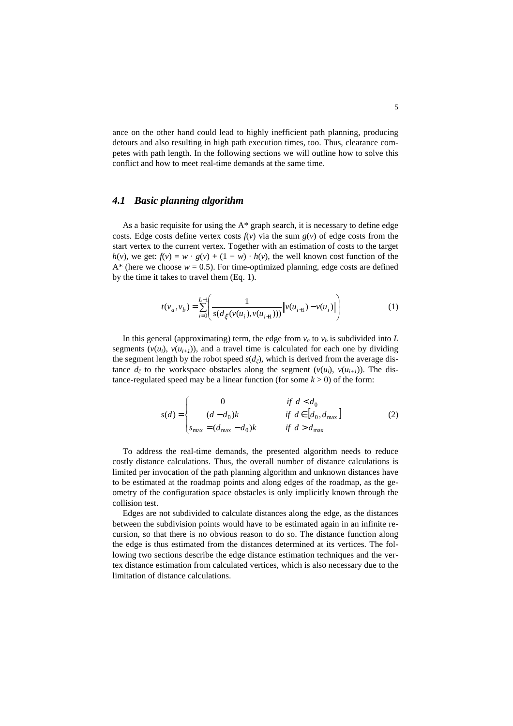ance on the other hand could lead to highly inefficient path planning, producing detours and also resulting in high path execution times, too. Thus, clearance competes with path length. In the following sections we will outline how to solve this conflict and how to meet real-time demands at the same time.

#### *4.1 Basic planning algorithm*

As a basic requisite for using the A\* graph search, it is necessary to define edge costs. Edge costs define vertex costs  $f(v)$  via the sum  $g(v)$  of edge costs from the start vertex to the current vertex. Together with an estimation of costs to the target *h*(*v*), we get:  $f(v) = w \cdot g(v) + (1 - w) \cdot h(v)$ , the well known cost function of the  $A^*$  (here we choose  $w = 0.5$ ). For time-optimized planning, edge costs are defined by the time it takes to travel them (Eq. 1).

$$
t(v_a, v_b) = \sum_{i=0}^{L-1} \left( \frac{1}{s(d_{\xi}(v(u_i), v(u_{i+1})))} \left\| v(u_{i+1}) - v(u_i) \right\| \right) \tag{1}
$$

In this general (approximating) term, the edge from  $v_a$  to  $v_b$  is subdivided into *L* segments  $(v(u_i), v(u_{i+1}))$ , and a travel time is calculated for each one by dividing the segment length by the robot speed  $s(d_{\xi})$ , which is derived from the average distance  $d_{\xi}$  to the workspace obstacles along the segment  $(v(u_i), v(u_{i+1}))$ . The distance-regulated speed may be a linear function (for some  $k > 0$ ) of the form:

$$
s(d) = \begin{cases} 0 & \text{if } d < d_0 \\ (d - d_0)k & \text{if } d \in [d_0, d_{\text{max}}] \\ s_{\text{max}} = (d_{\text{max}} - d_0)k & \text{if } d > d_{\text{max}} \end{cases}
$$
(2)

To address the real-time demands, the presented algorithm needs to reduce costly distance calculations. Thus, the overall number of distance calculations is limited per invocation of the path planning algorithm and unknown distances have to be estimated at the roadmap points and along edges of the roadmap, as the geometry of the configuration space obstacles is only implicitly known through the collision test.

Edges are not subdivided to calculate distances along the edge, as the distances between the subdivision points would have to be estimated again in an infinite recursion, so that there is no obvious reason to do so. The distance function along the edge is thus estimated from the distances determined at its vertices. The following two sections describe the edge distance estimation techniques and the vertex distance estimation from calculated vertices, which is also necessary due to the limitation of distance calculations.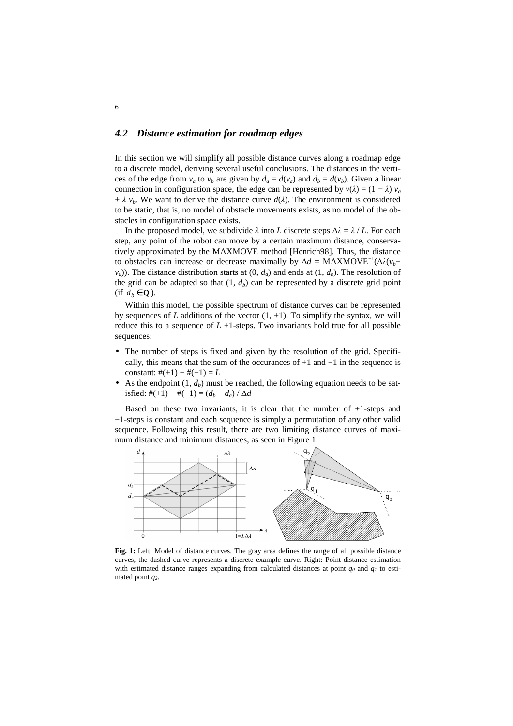#### *4.2 Distance estimation for roadmap edges*

In this section we will simplify all possible distance curves along a roadmap edge to a discrete model, deriving several useful conclusions. The distances in the vertices of the edge from  $v_a$  to  $v_b$  are given by  $d_a = d(v_a)$  and  $d_b = d(v_b)$ . Given a linear connection in configuration space, the edge can be represented by  $v(\lambda) = (1 - \lambda) v_a$ +  $\lambda$   $v_b$ . We want to derive the distance curve  $d(\lambda)$ . The environment is considered to be static, that is, no model of obstacle movements exists, as no model of the obstacles in configuration space exists.

In the proposed model, we subdivide  $\lambda$  into *L* discrete steps  $\Delta \lambda = \lambda / L$ . For each step, any point of the robot can move by a certain maximum distance, conservatively approximated by the MAXMOVE method [Henrich98]. Thus, the distance to obstacles can increase or decrease maximally by  $\Delta d = \text{MAXMove}^{-1}(\Delta \lambda (v_b$  $v_a$ )). The distance distribution starts at  $(0, d_a)$  and ends at  $(1, d_b)$ . The resolution of the grid can be adapted so that  $(1, d_b)$  can be represented by a discrete grid point (if  $d_b \in \mathbf{Q}$ ).

Within this model, the possible spectrum of distance curves can be represented by sequences of *L* additions of the vector  $(1, \pm 1)$ . To simplify the syntax, we will reduce this to a sequence of  $L \pm 1$ -steps. Two invariants hold true for all possible sequences:

- The number of steps is fixed and given by the resolution of the grid. Specifically, this means that the sum of the occurances of +1 and −1 in the sequence is constant:  $#(+1) + #(-1) = L$
- As the endpoint  $(1, d_b)$  must be reached, the following equation needs to be satisfied:  $#(+1) - #(-1) = (d_b - d_a) / ∆d$

Based on these two invariants, it is clear that the number of  $+1$ -steps and −1-steps is constant and each sequence is simply a permutation of any other valid sequence. Following this result, there are two limiting distance curves of maximum distance and minimum distances, as seen in Figure 1.



**Fig. 1:** Left: Model of distance curves. The gray area defines the range of all possible distance curves, the dashed curve represents a discrete example curve. Right: Point distance estimation with estimated distance ranges expanding from calculated distances at point  $q<sub>0</sub>$  and  $q<sub>1</sub>$  to estimated point *q2*.

6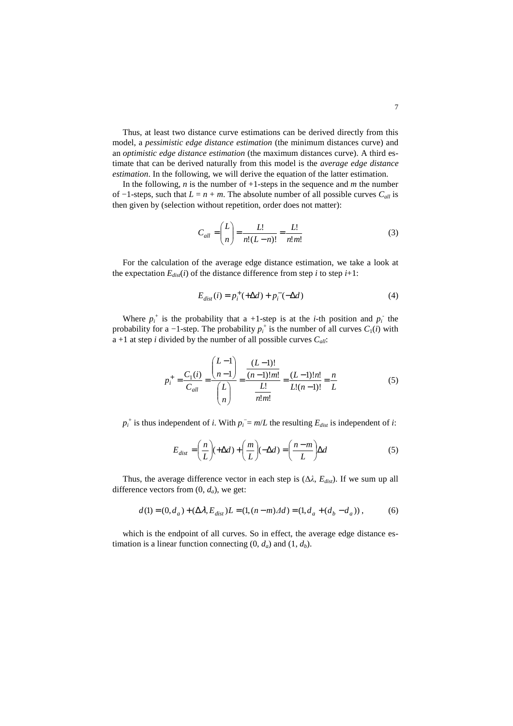Thus, at least two distance curve estimations can be derived directly from this model, a *pessimistic edge distance estimation* (the minimum distances curve) and an *optimistic edge distance estimation* (the maximum distances curve). A third estimate that can be derived naturally from this model is the *average edge distance estimation*. In the following, we will derive the equation of the latter estimation.

In the following, *n* is the number of  $+1$ -steps in the sequence and *m* the number of  $-1$ -steps, such that  $L = n + m$ . The absolute number of all possible curves  $C_{all}$  is then given by (selection without repetition, order does not matter):

$$
C_{all} = \left(\frac{L}{n}\right) = \frac{L!}{n!(L-n)!} = \frac{L!}{n!m!}
$$
 (3)

For the calculation of the average edge distance estimation, we take a look at the expectation  $E_{dist}(i)$  of the distance difference from step *i* to step  $i+1$ :

$$
E_{dist}(i) = p_i^+ (+\Delta d) + p_i^- (-\Delta d) \tag{4}
$$

Where  $p_i^+$  is the probability that a +1-step is at the *i*-th position and  $p_i^-$  the probability for a -1-step. The probability  $p_i^+$  is the number of all curves  $C_1(i)$  with a +1 at step *i* divided by the number of all possible curves *Call*:

$$
p_i^+ = \frac{C_1(i)}{C_{all}} = \frac{{L-1 \choose n-1}}{{L \choose n}} = \frac{(L-1)!n!}{\frac{L!}{n!m!}} = \frac{(L-1)!n!}{L!(n-1)!} = \frac{n}{L}
$$
(5)

 $p_i^+$  is thus independent of *i*. With  $p_i^- = m/L$  the resulting  $E_{dist}$  is independent of *i*:

$$
E_{dist} = \left(\frac{n}{L}\right)(+\Delta d) + \left(\frac{m}{L}\right)(-\Delta d) = \left(\frac{n-m}{L}\right)\Delta d \tag{5}
$$

Thus, the average difference vector in each step is  $(\Delta \lambda, E_{dist})$ . If we sum up all difference vectors from  $(0, d_a)$ , we get:

$$
d(1) = (0, d_a) + (\Delta \lambda, E_{dist})L = (1, (n-m)\Delta d) = (1, d_a + (d_b - d_a)),
$$
 (6)

which is the endpoint of all curves. So in effect, the average edge distance estimation is a linear function connecting  $(0, d_a)$  and  $(1, d_b)$ .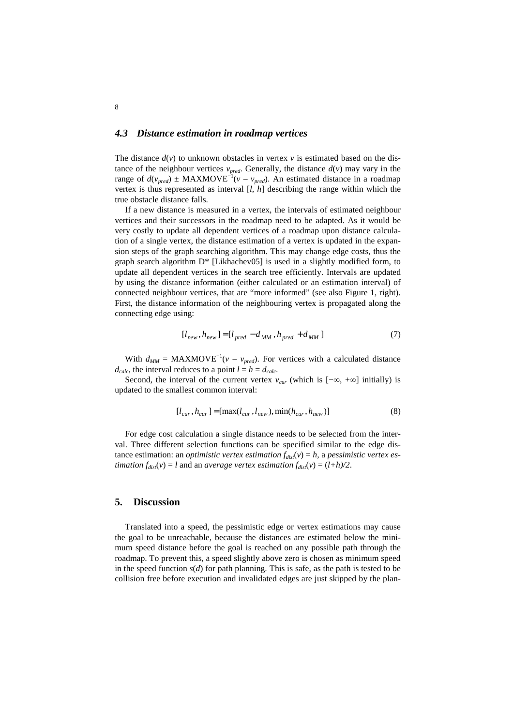#### *4.3 Distance estimation in roadmap vertices*

The distance  $d(v)$  to unknown obstacles in vertex  $v$  is estimated based on the distance of the neighbour vertices  $v_{pred}$ . Generally, the distance  $d(v)$  may vary in the range of  $d(v_{pred}) \pm MAXMOVE^{-1}(v - v_{pred})$ . An estimated distance in a roadmap vertex is thus represented as interval [*l*, *h*] describing the range within which the true obstacle distance falls.

If a new distance is measured in a vertex, the intervals of estimated neighbour vertices and their successors in the roadmap need to be adapted. As it would be very costly to update all dependent vertices of a roadmap upon distance calculation of a single vertex, the distance estimation of a vertex is updated in the expansion steps of the graph searching algorithm. This may change edge costs, thus the graph search algorithm D\* [Likhachev05] is used in a slightly modified form, to update all dependent vertices in the search tree efficiently. Intervals are updated by using the distance information (either calculated or an estimation interval) of connected neighbour vertices, that are "more informed" (see also Figure 1, right). First, the distance information of the neighbouring vertex is propagated along the connecting edge using:

$$
[l_{new}, h_{new}] = [l_{pred} - d_{MM}, h_{pred} + d_{MM}] \tag{7}
$$

With  $d_{MM}$  = MAXMOVE<sup>-1</sup>( $v - v_{pred}$ ). For vertices with a calculated distance  $d_{calc}$ , the interval reduces to a point  $l = h = d_{calc}$ .

Second, the interval of the current vertex  $v_{cur}$  (which is  $[-\infty, +\infty]$  initially) is updated to the smallest common interval:

$$
[l_{cur}, h_{cur}] = [\max(l_{cur}, l_{new}), \min(h_{cur}, h_{new})]
$$
 (8)

For edge cost calculation a single distance needs to be selected from the interval. Three different selection functions can be specified similar to the edge distance estimation: an *optimistic vertex estimation*  $f_{dist}(v) = h$ , a *pessimistic vertex estimation*  $f_{dist}(v) = l$  and an *average vertex estimation*  $f_{dist}(v) = (l+h)/2$ .

#### **5. Discussion**

Translated into a speed, the pessimistic edge or vertex estimations may cause the goal to be unreachable, because the distances are estimated below the minimum speed distance before the goal is reached on any possible path through the roadmap. To prevent this, a speed slightly above zero is chosen as minimum speed in the speed function *s*(*d*) for path planning. This is safe, as the path is tested to be collision free before execution and invalidated edges are just skipped by the plan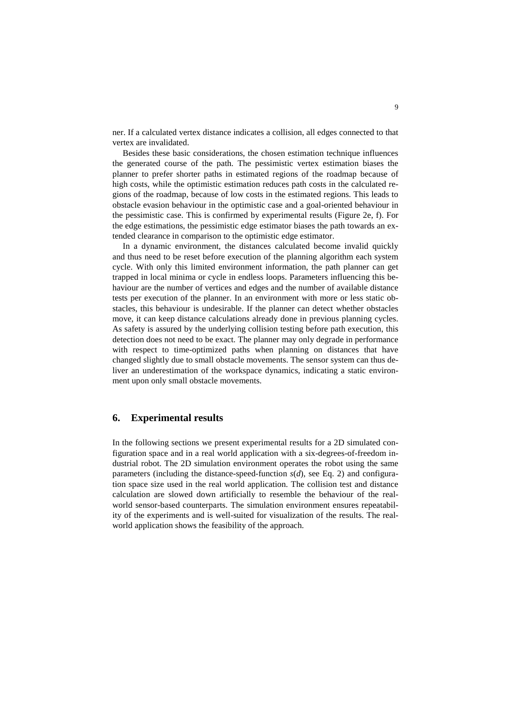ner. If a calculated vertex distance indicates a collision, all edges connected to that vertex are invalidated.

Besides these basic considerations, the chosen estimation technique influences the generated course of the path. The pessimistic vertex estimation biases the planner to prefer shorter paths in estimated regions of the roadmap because of high costs, while the optimistic estimation reduces path costs in the calculated regions of the roadmap, because of low costs in the estimated regions. This leads to obstacle evasion behaviour in the optimistic case and a goal-oriented behaviour in the pessimistic case. This is confirmed by experimental results (Figure 2e, f). For the edge estimations, the pessimistic edge estimator biases the path towards an extended clearance in comparison to the optimistic edge estimator.

In a dynamic environment, the distances calculated become invalid quickly and thus need to be reset before execution of the planning algorithm each system cycle. With only this limited environment information, the path planner can get trapped in local minima or cycle in endless loops. Parameters influencing this behaviour are the number of vertices and edges and the number of available distance tests per execution of the planner. In an environment with more or less static obstacles, this behaviour is undesirable. If the planner can detect whether obstacles move, it can keep distance calculations already done in previous planning cycles. As safety is assured by the underlying collision testing before path execution, this detection does not need to be exact. The planner may only degrade in performance with respect to time-optimized paths when planning on distances that have changed slightly due to small obstacle movements. The sensor system can thus deliver an underestimation of the workspace dynamics, indicating a static environment upon only small obstacle movements.

## **6. Experimental results**

In the following sections we present experimental results for a 2D simulated configuration space and in a real world application with a six-degrees-of-freedom industrial robot. The 2D simulation environment operates the robot using the same parameters (including the distance-speed-function  $s(d)$ , see Eq. 2) and configuration space size used in the real world application. The collision test and distance calculation are slowed down artificially to resemble the behaviour of the realworld sensor-based counterparts. The simulation environment ensures repeatability of the experiments and is well-suited for visualization of the results. The realworld application shows the feasibility of the approach.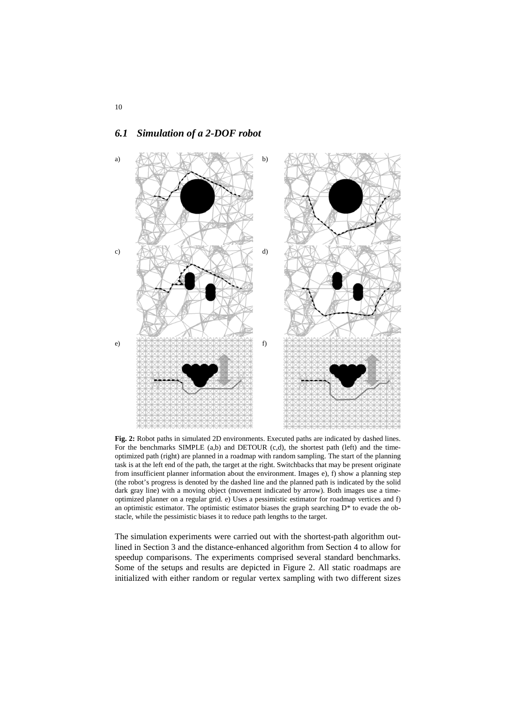

## *6.1 Simulation of a 2-DOF robot*

**Fig. 2:** Robot paths in simulated 2D environments. Executed paths are indicated by dashed lines. For the benchmarks SIMPLE (a,b) and DETOUR (c,d), the shortest path (left) and the timeoptimized path (right) are planned in a roadmap with random sampling. The start of the planning task is at the left end of the path, the target at the right. Switchbacks that may be present originate from insufficient planner information about the environment. Images e), f) show a planning step (the robot's progress is denoted by the dashed line and the planned path is indicated by the solid dark gray line) with a moving object (movement indicated by arrow). Both images use a timeoptimized planner on a regular grid. e) Uses a pessimistic estimator for roadmap vertices and f) an optimistic estimator. The optimistic estimator biases the graph searching  $D^*$  to evade the obstacle, while the pessimistic biases it to reduce path lengths to the target.

The simulation experiments were carried out with the shortest-path algorithm outlined in Section 3 and the distance-enhanced algorithm from Section 4 to allow for speedup comparisons. The experiments comprised several standard benchmarks. Some of the setups and results are depicted in Figure 2. All static roadmaps are initialized with either random or regular vertex sampling with two different sizes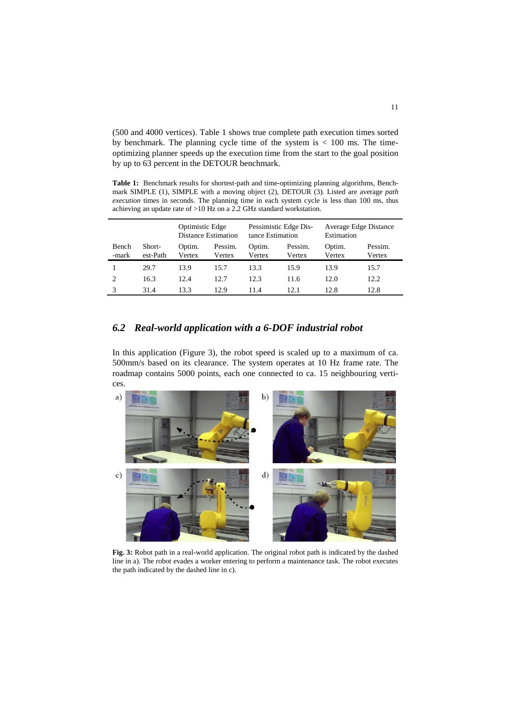(500 and 4000 vertices). Table 1 shows true complete path execution times sorted by benchmark. The planning cycle time of the system is  $< 100$  ms. The timeoptimizing planner speeds up the execution time from the start to the goal position by up to 63 percent in the DETOUR benchmark.

**Table 1:** Benchmark results for shortest-path and time-optimizing planning algorithms, Benchmark SIMPLE (1), SIMPLE with a moving object (2), DETOUR (3). Listed are average *path execution* times in seconds. The planning time in each system cycle is less than 100 ms, thus achieving an update rate of >10 Hz on a 2.2 GHz standard workstation.

|                |                    | Optimistic Edge<br><b>Distance Estimation</b> |                   | Pessimistic Edge Dis-<br>tance Estimation |                   | Average Edge Distance<br>Estimation |                   |
|----------------|--------------------|-----------------------------------------------|-------------------|-------------------------------------------|-------------------|-------------------------------------|-------------------|
| Bench<br>-mark | Short-<br>est-Path | Optim.<br>Vertex                              | Pessim.<br>Vertex | Optim.<br>Vertex                          | Pessim.<br>Vertex | Optim.<br>Vertex                    | Pessim.<br>Vertex |
|                | 29.7               | 13.9                                          | 15.7              | 13.3                                      | 15.9              | 13.9                                | 15.7              |
| っ              | 16.3               | 12.4                                          | 12.7              | 12.3                                      | 11.6              | 12.0                                | 12.2              |
|                | 31.4               | 13.3                                          | 12.9              | 11.4                                      | 12.1              | 12.8                                | 12.8              |

## *6.2 Real-world application with a 6-DOF industrial robot*

In this application (Figure 3), the robot speed is scaled up to a maximum of ca. 500mm/s based on its clearance. The system operates at 10 Hz frame rate. The roadmap contains 5000 points, each one connected to ca. 15 neighbouring vertices.



**Fig. 3:** Robot path in a real-world application. The original robot path is indicated by the dashed line in a). The robot evades a worker entering to perform a maintenance task. The robot executes the path indicated by the dashed line in c).